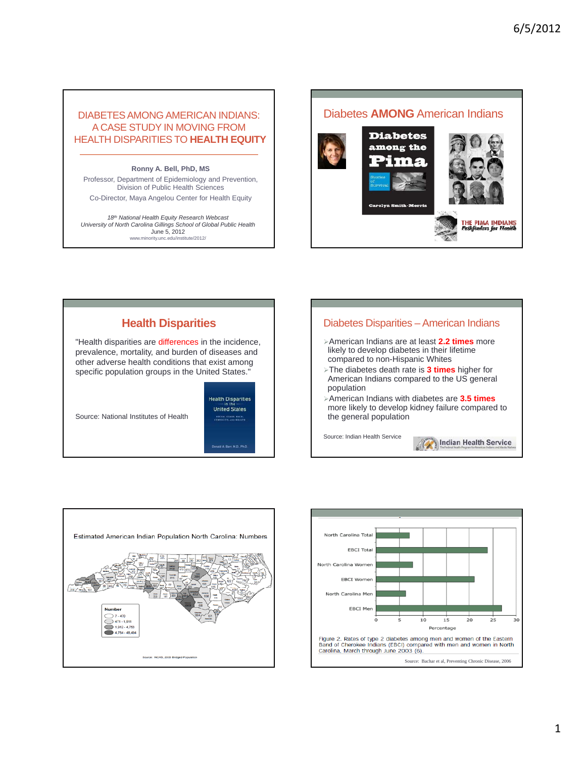## DIABETES AMONG AMERICAN INDIANS: A CASE STUDY IN MOVING FROM HEALTH DISPARITIES TO **HEALTH EQUITY**

 $Ronny$  A. Bell, PhD, MS

Professor, Department of Epidemiology and Prevention, Division of Public Health Sciences

Co-Director, Maya Angelou Center for Health Equity

*18th National Health Equity Research Webcast University of North Carolina Gillings School of Global Public Health* June 5, 2012 www.minority.unc.edu/institute/2012/





## Diabetes Disparities – American Indians

- ¾American Indians are at least **2.2 times** more likely to develop diabetes in their lifetime compared to non-Hispanic Whites
- ¾The diabetes death rate is **3 times** higher for American Indians compared to the US general population
- ¾American Indians with diabetes are **3.5 times**  more likely to develop kidney failure compared to the general population

Indian Health Service

Source: Indian Health Service



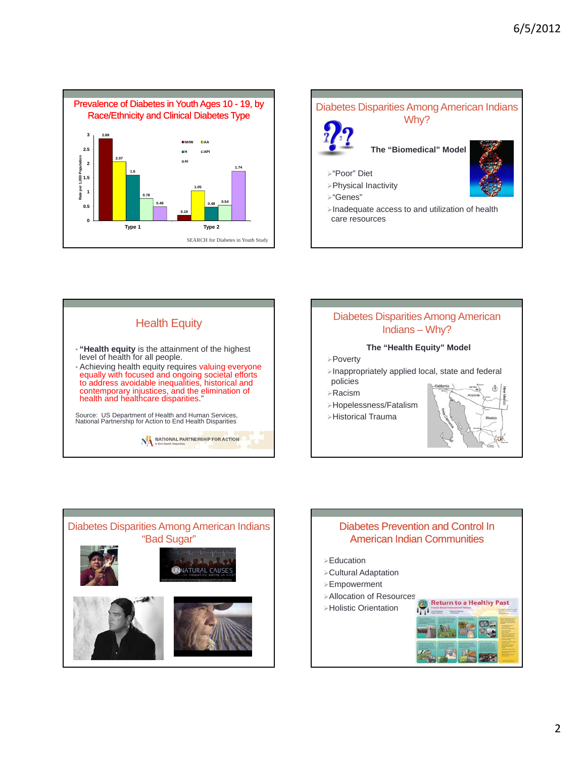







- ¾Inappropriately applied local, state and federal policies
- ¾Racism
- ¾Hopelessness/Fatalism
- ¾Historical Trauma



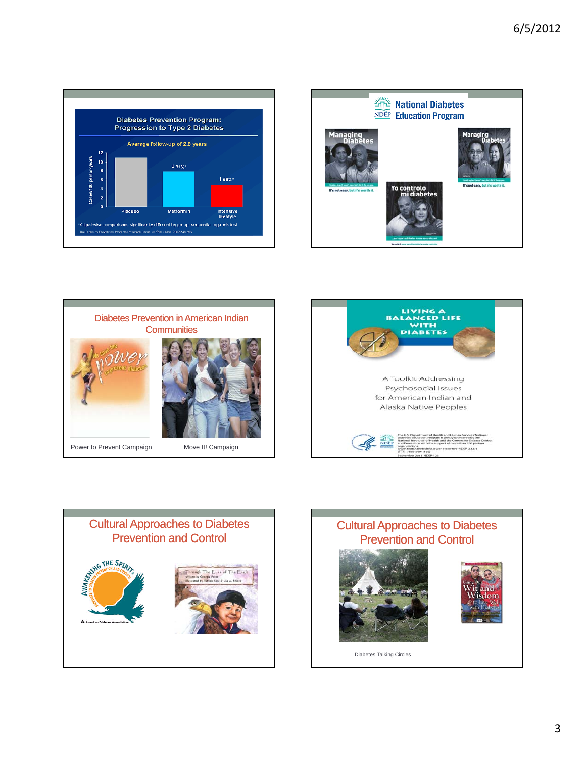